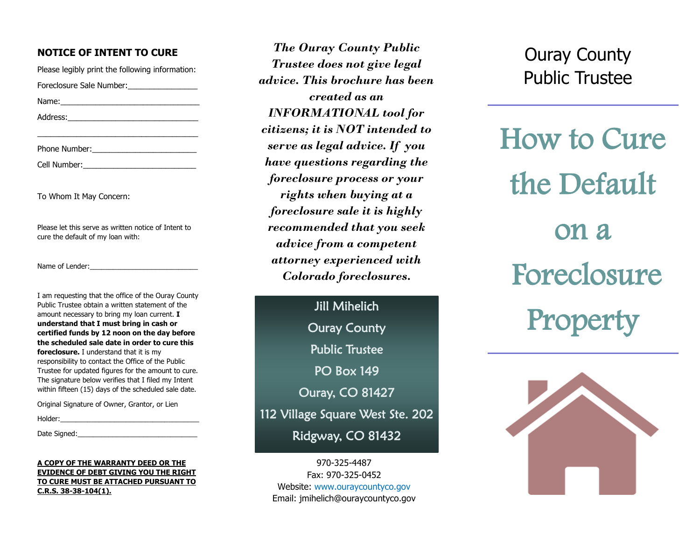#### **NOTICE OF INTENT TO CURE**

Please legibly print the following information: Foreclosure Sale Number: Name:\_\_\_\_\_\_\_\_\_\_\_\_\_\_\_\_\_\_\_\_\_\_\_\_\_\_\_\_\_\_\_\_ Address:\_\_\_\_\_\_\_\_\_\_\_\_\_\_\_\_\_\_\_\_\_\_\_\_\_\_\_\_\_\_

\_\_\_\_\_\_\_\_\_\_\_\_\_\_\_\_\_\_\_\_\_\_\_\_\_\_\_\_\_\_\_\_\_\_\_\_\_

Phone Number:

Cell Number:

To Whom It May Concern:

Please let this serve as written notice of Intent to cure the default of my loan with:

Name of Lender:

I am requesting that the office of the Ouray County Public Trustee obtain a written statement of the amount necessary to bring my loan current. **I understand that I must bring in cash or certified funds by 12 noon on the day before the scheduled sale date in order to cure this foreclosure.** I understand that it is my responsibility to contact the Office of the Public Trustee for updated figures for the amount to cure. The signature below verifies that I filed my Intent within fifteen (15) days of the scheduled sale date.

Original Signature of Owner, Grantor, or Lien

Holder:\_\_\_\_\_\_\_\_\_\_\_\_\_\_\_\_\_\_\_\_\_\_\_\_\_\_\_\_\_\_\_\_\_\_\_\_

Date Signed:

#### **A COPY OF THE WARRANTY DEED OR THE EVIDENCE OF DEBT GIVING YOU THE RIGHT TO CURE MUST BE ATTACHED PURSUANT TO C.R.S. 38-38-104(1).**

*The Ouray County Public Trustee does not give legal advice. This brochure has been created as an INFORMATIONAL tool for citizens; it is NOT intended to serve as legal advice. If you have questions regarding the foreclosure process or your rights when buying at a foreclosure sale it is highly recommended that you seek advice from a competent attorney experienced with Colorado foreclosures.* 

Jill Mihelich Ouray County Public Trustee PO Box 149 Ouray, CO 81427 112 Village Square West Ste. 202 Ridgway, CO 81432

970-325-4487 Fax: 970-325-0452 Website: www.ouraycountyco.gov Email: jmihelich@ouraycountyco.gov

Ouray County Public Trustee

How to Cure the Default on a Foreclosure Property